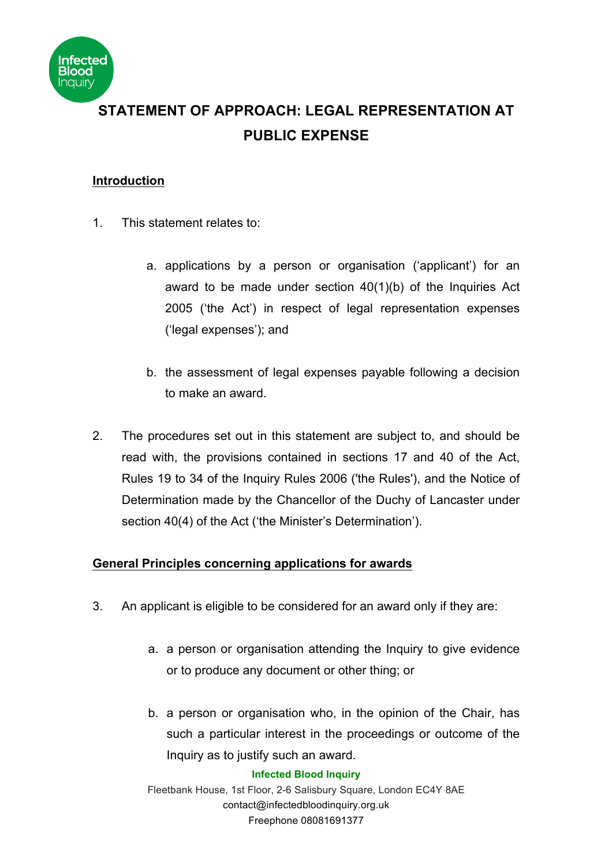

# **STATEMENT OF APPROACH: LEGAL REPRESENTATION AT PUBLIC EXPENSE**

### **Introduction**

- 1. This statement relates to:
	- a. applications by a person or organisation ('applicant') for an award to be made under section 40(1)(b) of the Inquiries Act 2005 ('the Act') in respect of legal representation expenses ('legal expenses'); and
	- b. the assessment of legal expenses payable following a decision to make an award.
- 2. The procedures set out in this statement are subject to, and should be read with, the provisions contained in sections 17 and 40 of the Act, Rules 19 to 34 of the Inquiry Rules 2006 ('the Rules'), and the Notice of Determination made by the Chancellor of the Duchy of Lancaster under section 40(4) of the Act ('the Minister's Determination').

## **General Principles concerning applications for awards**

- 3. An applicant is eligible to be considered for an award only if they are:
	- a. a person or organisation attending the Inquiry to give evidence or to produce any document or other thing; or
	- b. a person or organisation who, in the opinion of the Chair, has such a particular interest in the proceedings or outcome of the Inquiry as to justify such an award.

#### **Infected Blood Inquiry**

Fleetbank House, 1st Floor, 2-6 Salisbury Square, London EC4Y 8AE contact@infectedbloodinquiry.org.uk Freephone 08081691377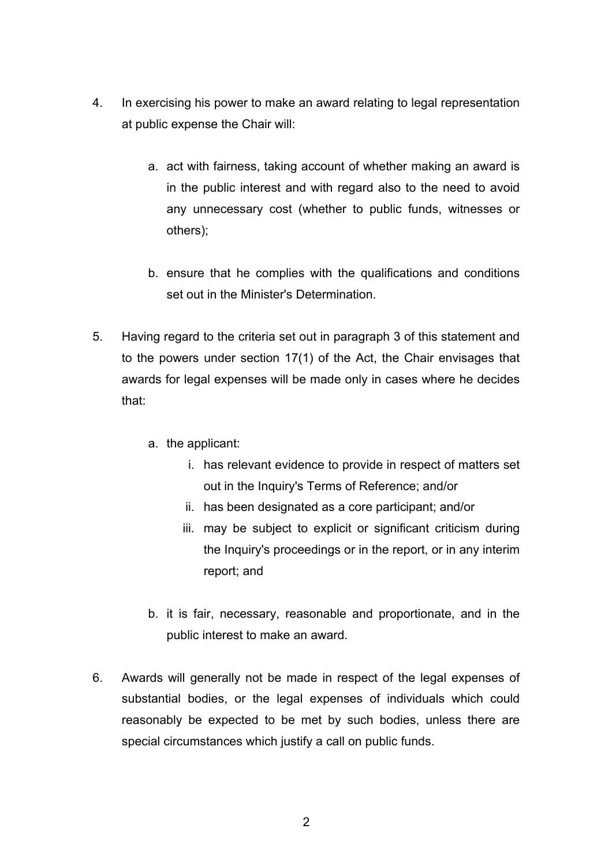- 4. In exercising his power to make an award relating to legal representation at public expense the Chair will:
	- a. act with fairness, taking account of whether making an award is in the public interest and with regard also to the need to avoid any unnecessary cost (whether to public funds, witnesses or others);
	- b. ensure that he complies with the qualifications and conditions set out in the Minister's Determination.
- 5. Having regard to the criteria set out in paragraph 3 of this statement and to the powers under section 17(1) of the Act, the Chair envisages that awards for legal expenses will be made only in cases where he decides that:
	- a. the applicant:
		- i. has relevant evidence to provide in respect of matters set out in the Inquiry's Terms of Reference; and/or
		- ii. has been designated as a core participant; and/or
		- iii. may be subject to explicit or significant criticism during the Inquiry's proceedings or in the report, or in any interim report; and
	- b. it is fair, necessary, reasonable and proportionate, and in the public interest to make an award.
- 6. Awards will generally not be made in respect of the legal expenses of substantial bodies, or the legal expenses of individuals which could reasonably be expected to be met by such bodies, unless there are special circumstances which justify a call on public funds.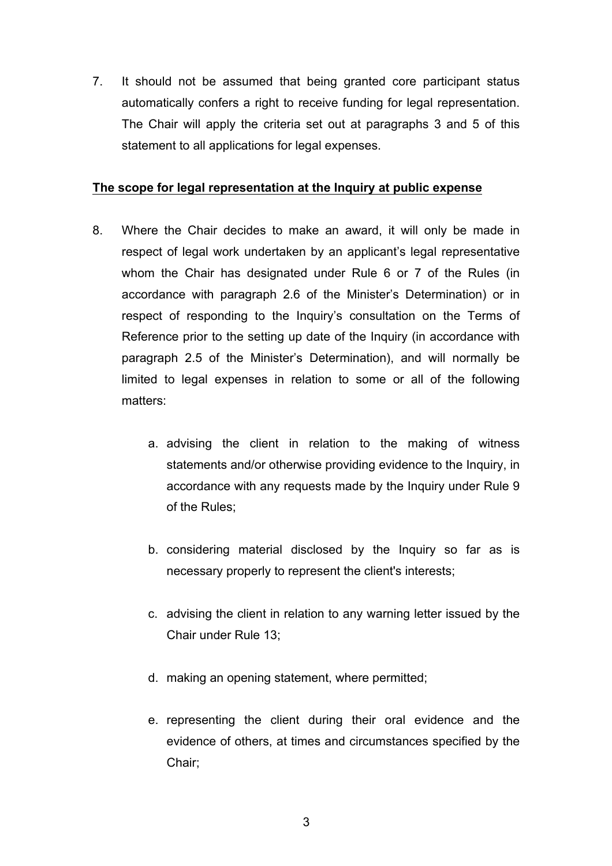7. It should not be assumed that being granted core participant status automatically confers a right to receive funding for legal representation. The Chair will apply the criteria set out at paragraphs 3 and 5 of this statement to all applications for legal expenses.

#### **The scope for legal representation at the Inquiry at public expense**

- 8. Where the Chair decides to make an award, it will only be made in respect of legal work undertaken by an applicant's legal representative whom the Chair has designated under Rule 6 or 7 of the Rules (in accordance with paragraph 2.6 of the Minister's Determination) or in respect of responding to the Inquiry's consultation on the Terms of Reference prior to the setting up date of the Inquiry (in accordance with paragraph 2.5 of the Minister's Determination), and will normally be limited to legal expenses in relation to some or all of the following matters:
	- a. advising the client in relation to the making of witness statements and/or otherwise providing evidence to the Inquiry, in accordance with any requests made by the Inquiry under Rule 9 of the Rules;
	- b. considering material disclosed by the Inquiry so far as is necessary properly to represent the client's interests;
	- c. advising the client in relation to any warning letter issued by the Chair under Rule 13;
	- d. making an opening statement, where permitted;
	- e. representing the client during their oral evidence and the evidence of others, at times and circumstances specified by the Chair;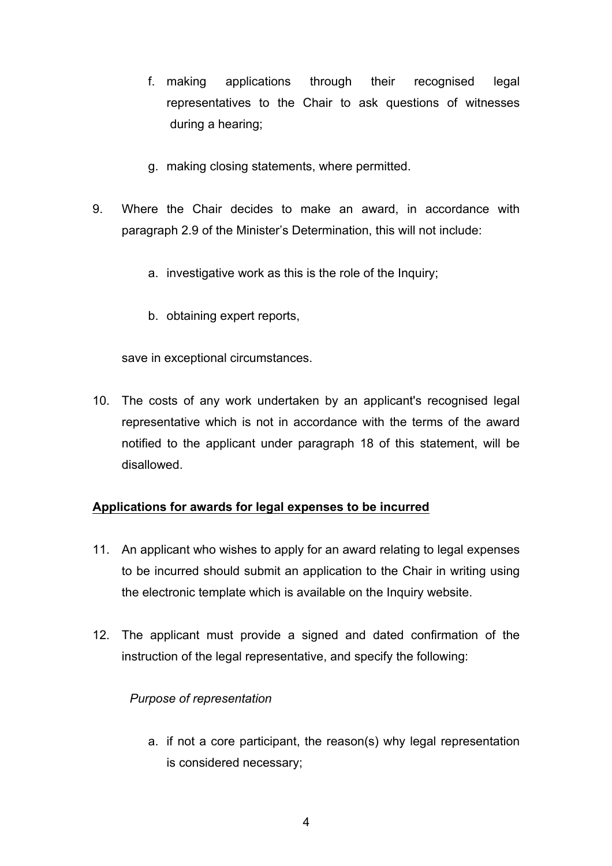- f. making applications through their recognised legal representatives to the Chair to ask questions of witnesses during a hearing;
- g. making closing statements, where permitted.
- 9. Where the Chair decides to make an award, in accordance with paragraph 2.9 of the Minister's Determination, this will not include:
	- a. investigative work as this is the role of the Inquiry;
	- b. obtaining expert reports,

save in exceptional circumstances.

10. The costs of any work undertaken by an applicant's recognised legal representative which is not in accordance with the terms of the award notified to the applicant under paragraph 18 of this statement, will be disallowed.

# **Applications for awards for legal expenses to be incurred**

- 11. An applicant who wishes to apply for an award relating to legal expenses to be incurred should submit an application to the Chair in writing using the electronic template which is available on the Inquiry website.
- 12. The applicant must provide a signed and dated confirmation of the instruction of the legal representative, and specify the following:

# *Purpose of representation*

a. if not a core participant, the reason(s) why legal representation is considered necessary;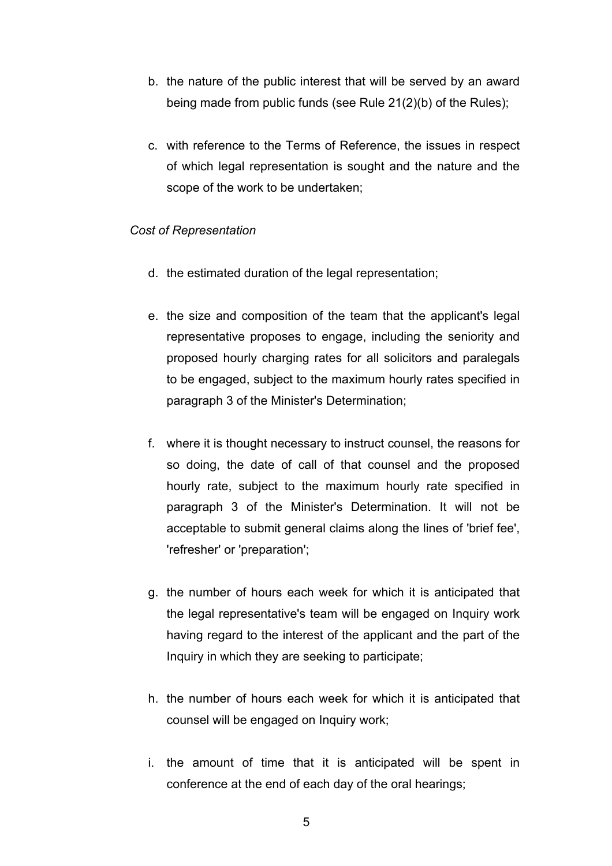- b. the nature of the public interest that will be served by an award being made from public funds (see Rule 21(2)(b) of the Rules);
- c. with reference to the Terms of Reference, the issues in respect of which legal representation is sought and the nature and the scope of the work to be undertaken;

### *Cost of Representation*

- d. the estimated duration of the legal representation;
- e. the size and composition of the team that the applicant's legal representative proposes to engage, including the seniority and proposed hourly charging rates for all solicitors and paralegals to be engaged, subject to the maximum hourly rates specified in paragraph 3 of the Minister's Determination;
- f. where it is thought necessary to instruct counsel, the reasons for so doing, the date of call of that counsel and the proposed hourly rate, subject to the maximum hourly rate specified in paragraph 3 of the Minister's Determination. It will not be acceptable to submit general claims along the lines of 'brief fee', 'refresher' or 'preparation';
- g. the number of hours each week for which it is anticipated that the legal representative's team will be engaged on Inquiry work having regard to the interest of the applicant and the part of the Inquiry in which they are seeking to participate;
- h. the number of hours each week for which it is anticipated that counsel will be engaged on Inquiry work;
- i. the amount of time that it is anticipated will be spent in conference at the end of each day of the oral hearings;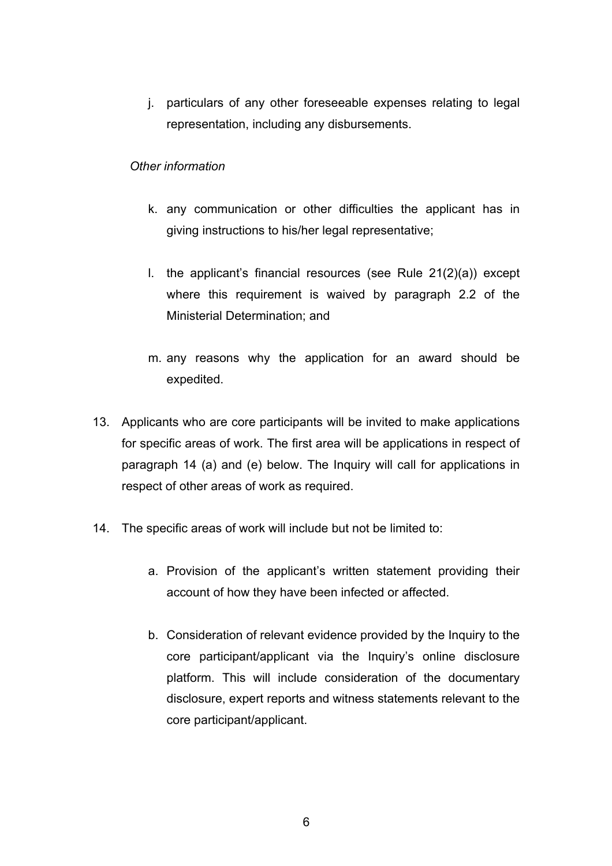j. particulars of any other foreseeable expenses relating to legal representation, including any disbursements.

### *Other information*

- k. any communication or other difficulties the applicant has in giving instructions to his/her legal representative;
- l. the applicant's financial resources (see Rule 21(2)(a)) except where this requirement is waived by paragraph 2.2 of the Ministerial Determination; and
- m. any reasons why the application for an award should be expedited.
- 13. Applicants who are core participants will be invited to make applications for specific areas of work. The first area will be applications in respect of paragraph 14 (a) and (e) below. The Inquiry will call for applications in respect of other areas of work as required.
- 14. The specific areas of work will include but not be limited to:
	- a. Provision of the applicant's written statement providing their account of how they have been infected or affected.
	- b. Consideration of relevant evidence provided by the Inquiry to the core participant/applicant via the Inquiry's online disclosure platform. This will include consideration of the documentary disclosure, expert reports and witness statements relevant to the core participant/applicant.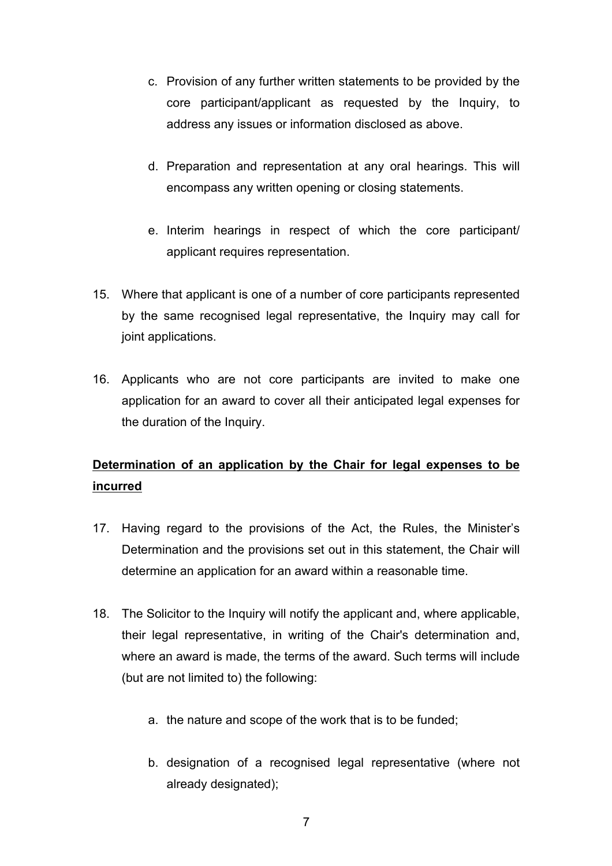- c. Provision of any further written statements to be provided by the core participant/applicant as requested by the Inquiry, to address any issues or information disclosed as above.
- d. Preparation and representation at any oral hearings. This will encompass any written opening or closing statements.
- e. Interim hearings in respect of which the core participant/ applicant requires representation.
- 15. Where that applicant is one of a number of core participants represented by the same recognised legal representative, the Inquiry may call for joint applications.
- 16. Applicants who are not core participants are invited to make one application for an award to cover all their anticipated legal expenses for the duration of the Inquiry.

# **Determination of an application by the Chair for legal expenses to be incurred**

- 17. Having regard to the provisions of the Act, the Rules, the Minister's Determination and the provisions set out in this statement, the Chair will determine an application for an award within a reasonable time.
- 18. The Solicitor to the Inquiry will notify the applicant and, where applicable, their legal representative, in writing of the Chair's determination and, where an award is made, the terms of the award. Such terms will include (but are not limited to) the following:
	- a. the nature and scope of the work that is to be funded;
	- b. designation of a recognised legal representative (where not already designated);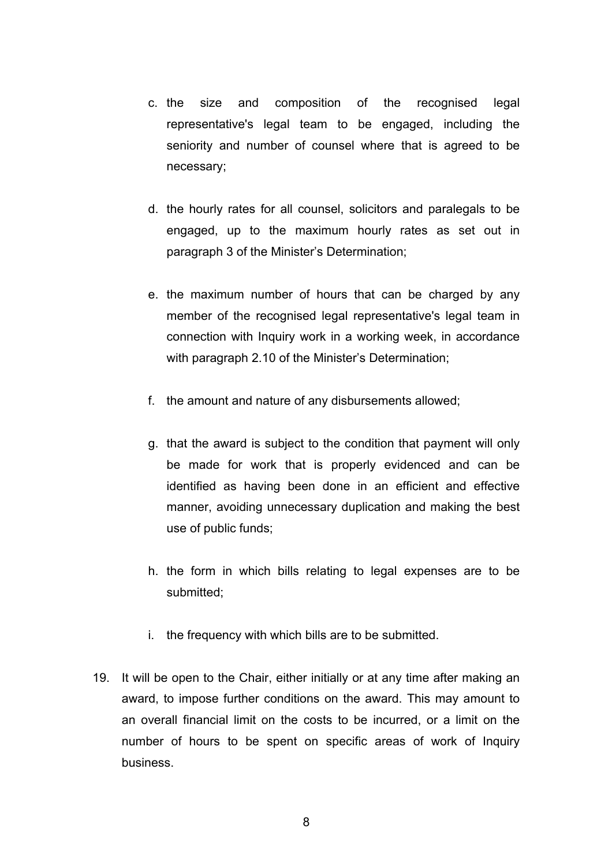- c. the size and composition of the recognised legal representative's legal team to be engaged, including the seniority and number of counsel where that is agreed to be necessary;
- d. the hourly rates for all counsel, solicitors and paralegals to be engaged, up to the maximum hourly rates as set out in paragraph 3 of the Minister's Determination;
- e. the maximum number of hours that can be charged by any member of the recognised legal representative's legal team in connection with Inquiry work in a working week, in accordance with paragraph 2.10 of the Minister's Determination;
- f. the amount and nature of any disbursements allowed;
- g. that the award is subject to the condition that payment will only be made for work that is properly evidenced and can be identified as having been done in an efficient and effective manner, avoiding unnecessary duplication and making the best use of public funds;
- h. the form in which bills relating to legal expenses are to be submitted;
- i. the frequency with which bills are to be submitted.
- 19. It will be open to the Chair, either initially or at any time after making an award, to impose further conditions on the award. This may amount to an overall financial limit on the costs to be incurred, or a limit on the number of hours to be spent on specific areas of work of Inquiry business.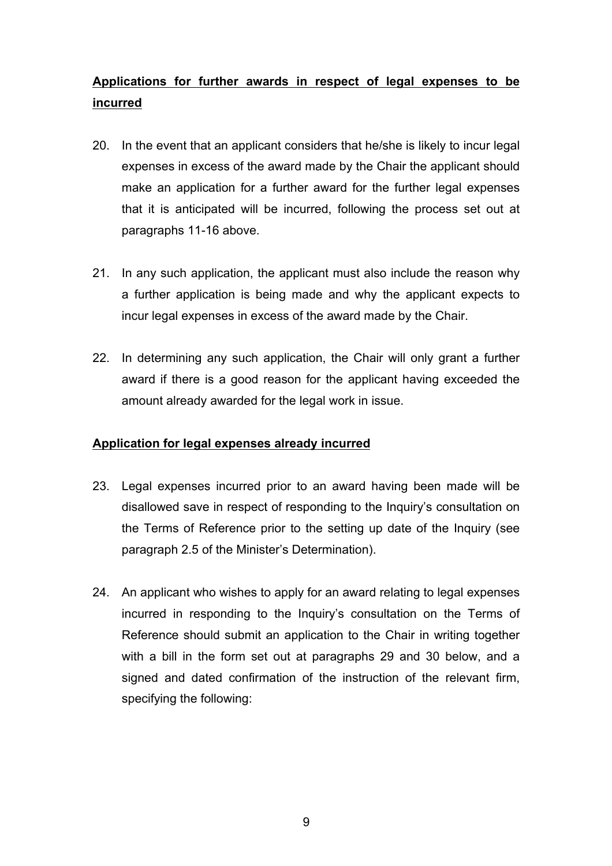# **Applications for further awards in respect of legal expenses to be incurred**

- 20. In the event that an applicant considers that he/she is likely to incur legal expenses in excess of the award made by the Chair the applicant should make an application for a further award for the further legal expenses that it is anticipated will be incurred, following the process set out at paragraphs 11-16 above.
- 21. In any such application, the applicant must also include the reason why a further application is being made and why the applicant expects to incur legal expenses in excess of the award made by the Chair.
- 22. In determining any such application, the Chair will only grant a further award if there is a good reason for the applicant having exceeded the amount already awarded for the legal work in issue.

## **Application for legal expenses already incurred**

- 23. Legal expenses incurred prior to an award having been made will be disallowed save in respect of responding to the Inquiry's consultation on the Terms of Reference prior to the setting up date of the Inquiry (see paragraph 2.5 of the Minister's Determination).
- 24. An applicant who wishes to apply for an award relating to legal expenses incurred in responding to the Inquiry's consultation on the Terms of Reference should submit an application to the Chair in writing together with a bill in the form set out at paragraphs 29 and 30 below, and a signed and dated confirmation of the instruction of the relevant firm, specifying the following: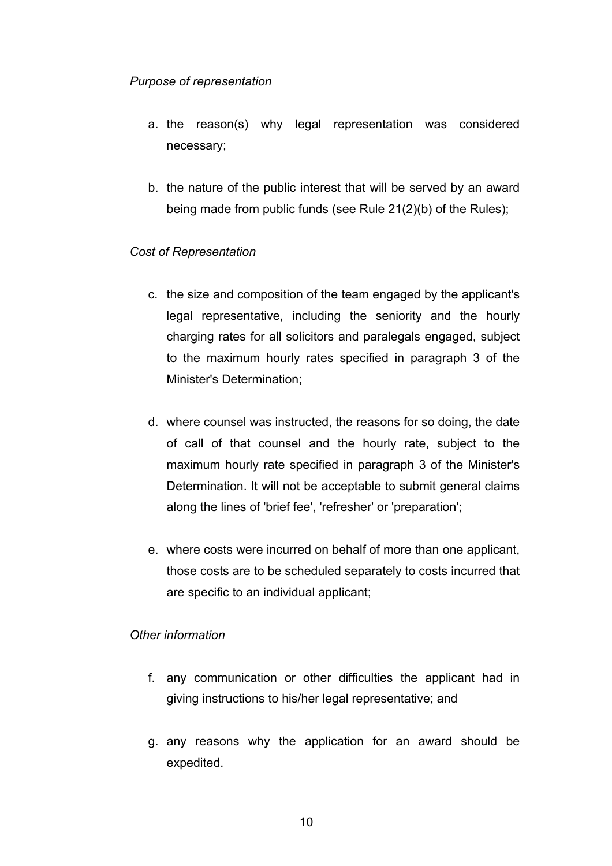### *Purpose of representation*

- a. the reason(s) why legal representation was considered necessary;
- b. the nature of the public interest that will be served by an award being made from public funds (see Rule 21(2)(b) of the Rules);

## *Cost of Representation*

- c. the size and composition of the team engaged by the applicant's legal representative, including the seniority and the hourly charging rates for all solicitors and paralegals engaged, subject to the maximum hourly rates specified in paragraph 3 of the Minister's Determination;
- d. where counsel was instructed, the reasons for so doing, the date of call of that counsel and the hourly rate, subject to the maximum hourly rate specified in paragraph 3 of the Minister's Determination. It will not be acceptable to submit general claims along the lines of 'brief fee', 'refresher' or 'preparation';
- e. where costs were incurred on behalf of more than one applicant, those costs are to be scheduled separately to costs incurred that are specific to an individual applicant;

## *Other information*

- f. any communication or other difficulties the applicant had in giving instructions to his/her legal representative; and
- g. any reasons why the application for an award should be expedited.

10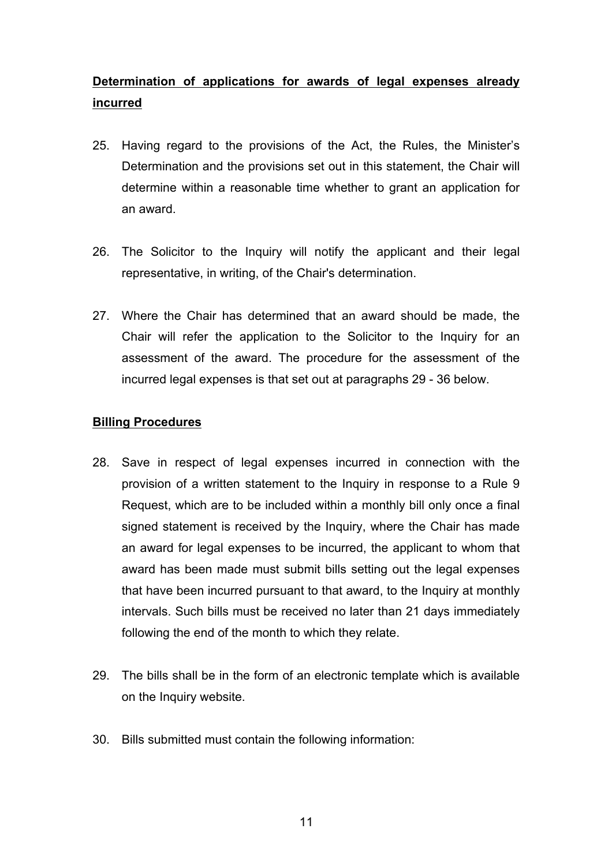# **Determination of applications for awards of legal expenses already incurred**

- 25. Having regard to the provisions of the Act, the Rules, the Minister's Determination and the provisions set out in this statement, the Chair will determine within a reasonable time whether to grant an application for an award.
- 26. The Solicitor to the Inquiry will notify the applicant and their legal representative, in writing, of the Chair's determination.
- 27. Where the Chair has determined that an award should be made, the Chair will refer the application to the Solicitor to the Inquiry for an assessment of the award. The procedure for the assessment of the incurred legal expenses is that set out at paragraphs 29 - 36 below.

### **Billing Procedures**

- 28. Save in respect of legal expenses incurred in connection with the provision of a written statement to the Inquiry in response to a Rule 9 Request, which are to be included within a monthly bill only once a final signed statement is received by the Inquiry, where the Chair has made an award for legal expenses to be incurred, the applicant to whom that award has been made must submit bills setting out the legal expenses that have been incurred pursuant to that award, to the Inquiry at monthly intervals. Such bills must be received no later than 21 days immediately following the end of the month to which they relate.
- 29. The bills shall be in the form of an electronic template which is available on the Inquiry website.
- 30. Bills submitted must contain the following information: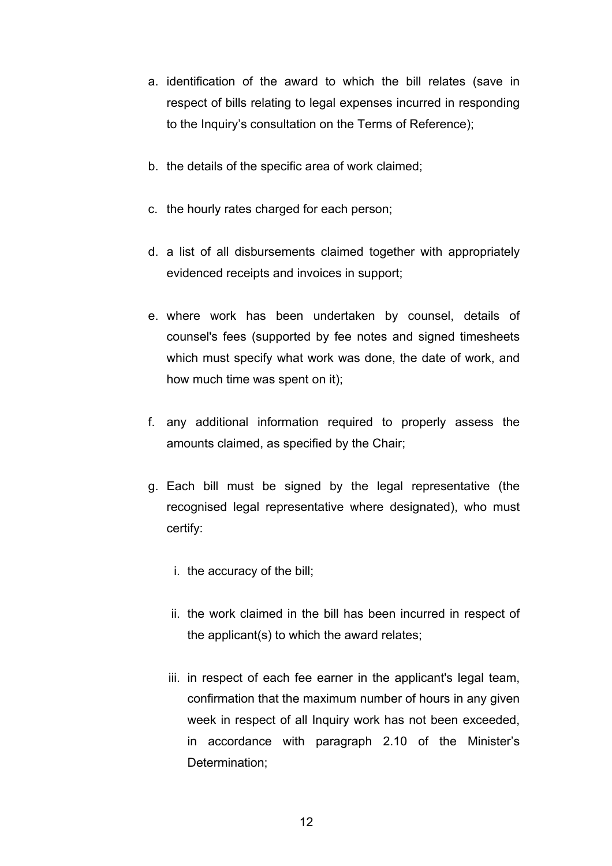- a. identification of the award to which the bill relates (save in respect of bills relating to legal expenses incurred in responding to the Inquiry's consultation on the Terms of Reference);
- b. the details of the specific area of work claimed;
- c. the hourly rates charged for each person;
- d. a list of all disbursements claimed together with appropriately evidenced receipts and invoices in support;
- e. where work has been undertaken by counsel, details of counsel's fees (supported by fee notes and signed timesheets which must specify what work was done, the date of work, and how much time was spent on it);
- f. any additional information required to properly assess the amounts claimed, as specified by the Chair;
- g. Each bill must be signed by the legal representative (the recognised legal representative where designated), who must certify:
	- i. the accuracy of the bill;
	- ii. the work claimed in the bill has been incurred in respect of the applicant(s) to which the award relates;
	- iii. in respect of each fee earner in the applicant's legal team, confirmation that the maximum number of hours in any given week in respect of all Inquiry work has not been exceeded, in accordance with paragraph 2.10 of the Minister's Determination;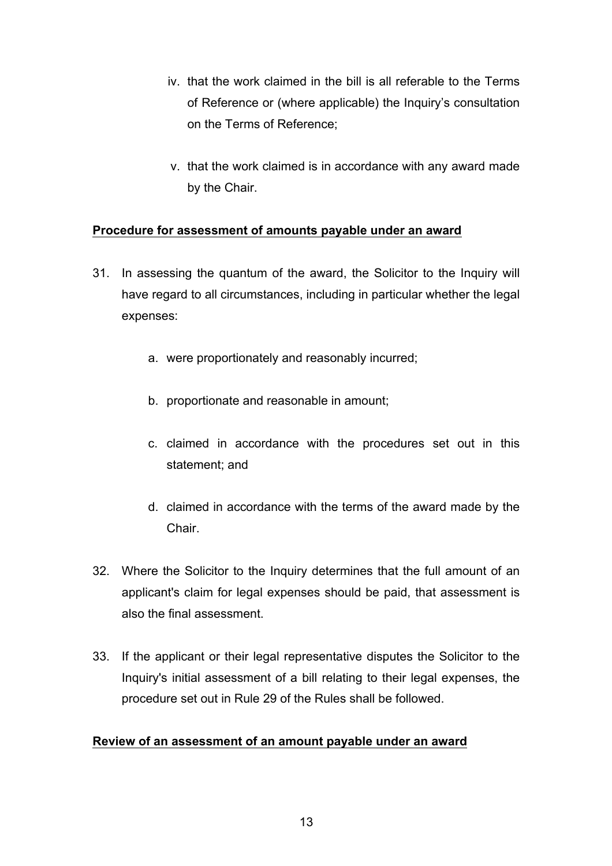- iv. that the work claimed in the bill is all referable to the Terms of Reference or (where applicable) the Inquiry's consultation on the Terms of Reference;
- v. that the work claimed is in accordance with any award made by the Chair.

### **Procedure for assessment of amounts payable under an award**

- 31. In assessing the quantum of the award, the Solicitor to the Inquiry will have regard to all circumstances, including in particular whether the legal expenses:
	- a. were proportionately and reasonably incurred;
	- b. proportionate and reasonable in amount;
	- c. claimed in accordance with the procedures set out in this statement; and
	- d. claimed in accordance with the terms of the award made by the **Chair**
- 32. Where the Solicitor to the Inquiry determines that the full amount of an applicant's claim for legal expenses should be paid, that assessment is also the final assessment.
- 33. If the applicant or their legal representative disputes the Solicitor to the Inquiry's initial assessment of a bill relating to their legal expenses, the procedure set out in Rule 29 of the Rules shall be followed.

### **Review of an assessment of an amount payable under an award**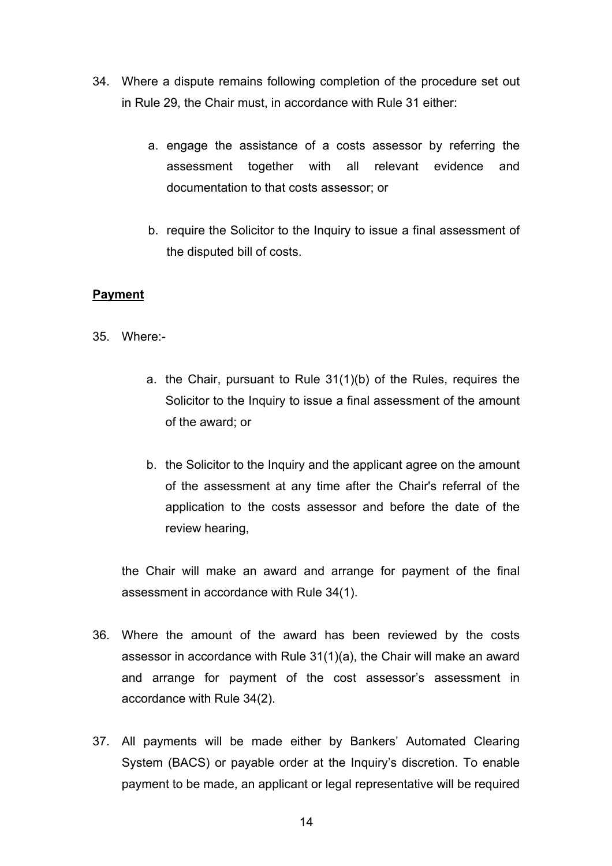- 34. Where a dispute remains following completion of the procedure set out in Rule 29, the Chair must, in accordance with Rule 31 either:
	- a. engage the assistance of a costs assessor by referring the assessment together with all relevant evidence and documentation to that costs assessor; or
	- b. require the Solicitor to the Inquiry to issue a final assessment of the disputed bill of costs.

### **Payment**

- 35. Where:
	- a. the Chair, pursuant to Rule 31(1)(b) of the Rules, requires the Solicitor to the Inquiry to issue a final assessment of the amount of the award; or
	- b. the Solicitor to the Inquiry and the applicant agree on the amount of the assessment at any time after the Chair's referral of the application to the costs assessor and before the date of the review hearing,

the Chair will make an award and arrange for payment of the final assessment in accordance with Rule 34(1).

- 36. Where the amount of the award has been reviewed by the costs assessor in accordance with Rule 31(1)(a), the Chair will make an award and arrange for payment of the cost assessor's assessment in accordance with Rule 34(2).
- 37. All payments will be made either by Bankers' Automated Clearing System (BACS) or payable order at the Inquiry's discretion. To enable payment to be made, an applicant or legal representative will be required